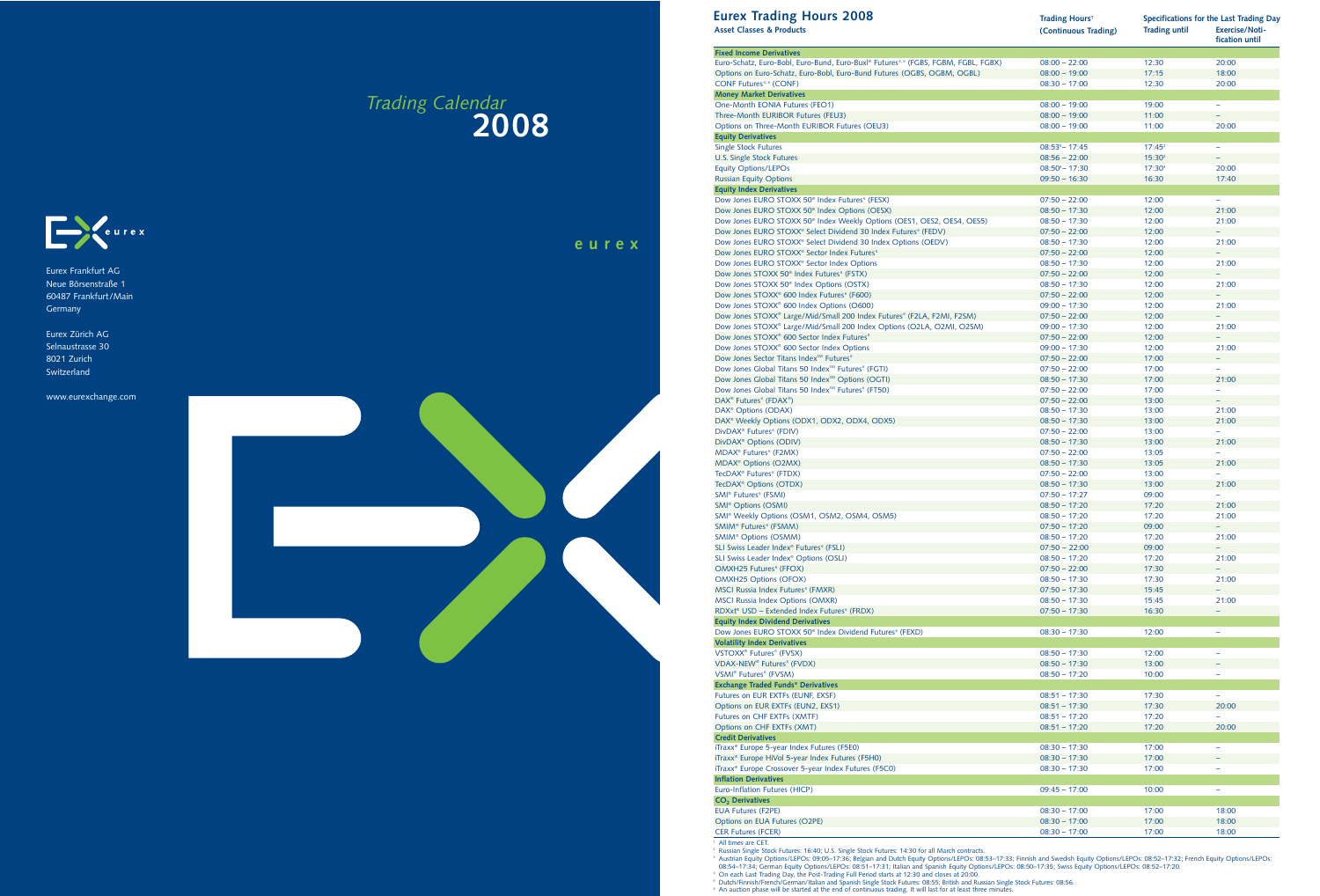## **eurex**

Eurex Frankfurt AG Neue Börsenstraße 1 60487 Frankfurt/Main **Germany** 

**CONTRACTOR** 

Eurex Zürich AG Selnaustrasse 30 8021 Zurich Switzerland

www.eurexchange.com

# *Trading Calendar* **2008**



| <b>Eurex Trading Hours 2008</b><br><b>Asset Classes &amp; Products</b>                                                                                                                                                                                                                                                                                                                                                                                                                                                                                                                                                                                                                                                                           | <b>Trading Hours<sup>1</sup></b><br>(Continuous Trading) | <b>Trading until</b> | Specifications for the Last Trading Day<br><b>Exercise/Noti-</b><br>fication until |
|--------------------------------------------------------------------------------------------------------------------------------------------------------------------------------------------------------------------------------------------------------------------------------------------------------------------------------------------------------------------------------------------------------------------------------------------------------------------------------------------------------------------------------------------------------------------------------------------------------------------------------------------------------------------------------------------------------------------------------------------------|----------------------------------------------------------|----------------------|------------------------------------------------------------------------------------|
| <b>Fixed Income Derivatives</b>                                                                                                                                                                                                                                                                                                                                                                                                                                                                                                                                                                                                                                                                                                                  |                                                          |                      |                                                                                    |
| Euro-Schatz, Euro-Bobl, Euro-Bund, Euro-Buxl® Futures <sup>4,6</sup> (FGBS, FGBM, FGBL, FGBX)                                                                                                                                                                                                                                                                                                                                                                                                                                                                                                                                                                                                                                                    | $08:00 - 22:00$                                          | 12:30                | 20:00                                                                              |
| Options on Euro-Schatz, Euro-Bobl, Euro-Bund Futures (OGBS, OGBM, OGBL)                                                                                                                                                                                                                                                                                                                                                                                                                                                                                                                                                                                                                                                                          | $08:00 - 19:00$                                          | 17:15                | 18:00                                                                              |
| CONF Futures <sup>4, 6</sup> (CONF)                                                                                                                                                                                                                                                                                                                                                                                                                                                                                                                                                                                                                                                                                                              | $08:30 - 17:00$                                          | 12:30                | 20:00                                                                              |
| <b>Money Market Derivatives</b><br>One-Month EONIA Futures (FEO1)                                                                                                                                                                                                                                                                                                                                                                                                                                                                                                                                                                                                                                                                                |                                                          |                      | $\equiv$                                                                           |
| Three-Month EURIBOR Futures (FEU3)                                                                                                                                                                                                                                                                                                                                                                                                                                                                                                                                                                                                                                                                                                               | $08:00 - 19:00$<br>$08:00 - 19:00$                       | 19:00<br>11:00       |                                                                                    |
| Options on Three-Month EURIBOR Futures (OEU3)                                                                                                                                                                                                                                                                                                                                                                                                                                                                                                                                                                                                                                                                                                    | $08:00 - 19:00$                                          | 11:00                | 20:00                                                                              |
| <b>Equity Derivatives</b>                                                                                                                                                                                                                                                                                                                                                                                                                                                                                                                                                                                                                                                                                                                        |                                                          |                      |                                                                                    |
| <b>Single Stock Futures</b>                                                                                                                                                                                                                                                                                                                                                                                                                                                                                                                                                                                                                                                                                                                      | $08:53^{5} - 17:45$                                      | $17:45^2$            | $\equiv$                                                                           |
| U.S. Single Stock Futures                                                                                                                                                                                                                                                                                                                                                                                                                                                                                                                                                                                                                                                                                                                        | $08:56 - 22:00$                                          | 15:30 <sup>2</sup>   | ۰                                                                                  |
| <b>Equity Options/LEPOs</b>                                                                                                                                                                                                                                                                                                                                                                                                                                                                                                                                                                                                                                                                                                                      | $08:50^3 - 17:30$                                        | $17:30^{3}$          | 20:00                                                                              |
| <b>Russian Equity Options</b>                                                                                                                                                                                                                                                                                                                                                                                                                                                                                                                                                                                                                                                                                                                    | $09:50 - 16:30$                                          | 16:30                | 17:40                                                                              |
| <b>Equity Index Derivatives</b>                                                                                                                                                                                                                                                                                                                                                                                                                                                                                                                                                                                                                                                                                                                  |                                                          |                      |                                                                                    |
| Dow Jones EURO STOXX 50 <sup>®</sup> Index Futures <sup>6</sup> (FESX)                                                                                                                                                                                                                                                                                                                                                                                                                                                                                                                                                                                                                                                                           | $07:50 - 22:00$                                          | 12:00                | $\equiv$                                                                           |
| Dow Jones EURO STOXX 50 <sup>®</sup> Index Options (OESX)                                                                                                                                                                                                                                                                                                                                                                                                                                                                                                                                                                                                                                                                                        | $08:50 - 17:30$                                          | 12:00                | 21:00                                                                              |
| Dow Jones EURO STOXX 50 <sup>®</sup> Index Weekly Options (OES1, OES2, OES4, OES5)                                                                                                                                                                                                                                                                                                                                                                                                                                                                                                                                                                                                                                                               | $08:50 - 17:30$                                          | 12:00                | 21:00                                                                              |
| Dow Jones EURO STOXX® Select Dividend 30 Index Futures <sup>6</sup> (FEDV)                                                                                                                                                                                                                                                                                                                                                                                                                                                                                                                                                                                                                                                                       | $07:50 - 22:00$                                          | 12:00                | $\equiv$                                                                           |
| Dow Jones EURO STOXX® Select Dividend 30 Index Options (OEDV)                                                                                                                                                                                                                                                                                                                                                                                                                                                                                                                                                                                                                                                                                    | $08:50 - 17:30$                                          | 12:00                | 21:00                                                                              |
| Dow Jones EURO STOXX <sup>®</sup> Sector Index Futures <sup>6</sup>                                                                                                                                                                                                                                                                                                                                                                                                                                                                                                                                                                                                                                                                              | $07:50 - 22:00$                                          | 12:00                |                                                                                    |
| Dow Jones EURO STOXX <sup>®</sup> Sector Index Options                                                                                                                                                                                                                                                                                                                                                                                                                                                                                                                                                                                                                                                                                           | $08:50 - 17:30$                                          | 12:00                | 21:00                                                                              |
| Dow Jones STOXX 50 <sup>®</sup> Index Futures <sup>6</sup> (FSTX)                                                                                                                                                                                                                                                                                                                                                                                                                                                                                                                                                                                                                                                                                | $07:50 - 22:00$                                          | 12:00                | $\overline{\phantom{m}}$                                                           |
| Dow Jones STOXX 50 <sup>®</sup> Index Options (OSTX)                                                                                                                                                                                                                                                                                                                                                                                                                                                                                                                                                                                                                                                                                             | $08:50 - 17:30$                                          | 12:00                | 21:00                                                                              |
| Dow Jones STOXX <sup>®</sup> 600 Index Futures <sup>6</sup> (F600)                                                                                                                                                                                                                                                                                                                                                                                                                                                                                                                                                                                                                                                                               | $07:50 - 22:00$                                          | 12:00                | ÷,                                                                                 |
| Dow Jones STOXX® 600 Index Options (O600)                                                                                                                                                                                                                                                                                                                                                                                                                                                                                                                                                                                                                                                                                                        | $09:00 - 17:30$                                          | 12:00                | 21:00                                                                              |
| Dow Jones STOXX® Large/Mid/Small 200 Index Futures <sup>6</sup> (F2LA, F2MI, F2SM)                                                                                                                                                                                                                                                                                                                                                                                                                                                                                                                                                                                                                                                               | $07:50 - 22:00$                                          | 12:00                |                                                                                    |
| Dow Jones STOXX® Large/Mid/Small 200 Index Options (O2LA, O2MI, O2SM)                                                                                                                                                                                                                                                                                                                                                                                                                                                                                                                                                                                                                                                                            | $09:00 - 17:30$                                          | 12:00                | 21:00                                                                              |
| Dow Jones STOXX® 600 Sector Index Futures <sup>6</sup>                                                                                                                                                                                                                                                                                                                                                                                                                                                                                                                                                                                                                                                                                           | $07:50 - 22:00$                                          | 12:00                | ۰                                                                                  |
| Dow Jones STOXX <sup>®</sup> 600 Sector Index Options                                                                                                                                                                                                                                                                                                                                                                                                                                                                                                                                                                                                                                                                                            | $09:00 - 17:30$                                          | 12:00                | 21:00                                                                              |
| Dow Jones Sector Titans Index <sup>5M</sup> Futures <sup>6</sup>                                                                                                                                                                                                                                                                                                                                                                                                                                                                                                                                                                                                                                                                                 | $07:50 - 22:00$                                          | 17:00                | $\overline{\phantom{a}}$                                                           |
| Dow Jones Global Titans 50 Index <sup>5M</sup> Futures <sup>6</sup> (FGTI)                                                                                                                                                                                                                                                                                                                                                                                                                                                                                                                                                                                                                                                                       | $07:50 - 22:00$                                          | 17:00                | $\equiv$                                                                           |
| Dow Jones Global Titans 50 Index <sup>5M</sup> Options (OGTI)                                                                                                                                                                                                                                                                                                                                                                                                                                                                                                                                                                                                                                                                                    | $08:50 - 17:30$                                          | 17:00                | 21:00                                                                              |
| Dow Jones Global Titans 50 Index <sup>5M</sup> Futures <sup>6</sup> (FT50)                                                                                                                                                                                                                                                                                                                                                                                                                                                                                                                                                                                                                                                                       | $07:50 - 22:00$                                          | 17:00                | $\equiv$                                                                           |
| DAX <sup>®</sup> Futures <sup>6</sup> (FDAX <sup>®</sup> )                                                                                                                                                                                                                                                                                                                                                                                                                                                                                                                                                                                                                                                                                       | $07:50 - 22:00$                                          | 13:00                | $\overline{\phantom{a}}$                                                           |
| DAX <sup>®</sup> Options (ODAX)                                                                                                                                                                                                                                                                                                                                                                                                                                                                                                                                                                                                                                                                                                                  | $08:50 - 17:30$                                          | 13:00                | 21:00                                                                              |
| DAX <sup>®</sup> Weekly Options (ODX1, ODX2, ODX4, ODX5)                                                                                                                                                                                                                                                                                                                                                                                                                                                                                                                                                                                                                                                                                         | $08:50 - 17:30$                                          | 13:00                | 21:00                                                                              |
| DivDAX <sup>®</sup> Futures <sup>6</sup> (FDIV)                                                                                                                                                                                                                                                                                                                                                                                                                                                                                                                                                                                                                                                                                                  | $07:50 - 22:00$                                          | 13:00                | ÷                                                                                  |
| DivDAX <sup>®</sup> Options (ODIV)                                                                                                                                                                                                                                                                                                                                                                                                                                                                                                                                                                                                                                                                                                               | $08:50 - 17:30$                                          | 13:00                | 21:00                                                                              |
| MDAX <sup>®</sup> Futures <sup>6</sup> (F2MX)                                                                                                                                                                                                                                                                                                                                                                                                                                                                                                                                                                                                                                                                                                    | $07:50 - 22:00$                                          | 13:05                | ÷,                                                                                 |
| MDAX <sup>®</sup> Options (O2MX)                                                                                                                                                                                                                                                                                                                                                                                                                                                                                                                                                                                                                                                                                                                 | $08:50 - 17:30$                                          | 13:05                | 21:00                                                                              |
| TecDAX <sup>®</sup> Futures <sup>6</sup> (FTDX)                                                                                                                                                                                                                                                                                                                                                                                                                                                                                                                                                                                                                                                                                                  | $07:50 - 22:00$                                          | 13:00                |                                                                                    |
| TecDAX <sup>®</sup> Options (OTDX)                                                                                                                                                                                                                                                                                                                                                                                                                                                                                                                                                                                                                                                                                                               | $08:50 - 17:30$                                          | 13:00                | 21:00                                                                              |
| SMI <sup>®</sup> Futures <sup>6</sup> (FSMI)                                                                                                                                                                                                                                                                                                                                                                                                                                                                                                                                                                                                                                                                                                     | $07:50 - 17:27$                                          | 09:00                | ÷,                                                                                 |
| <b>SMI<sup>®</sup></b> Options (OSMI)                                                                                                                                                                                                                                                                                                                                                                                                                                                                                                                                                                                                                                                                                                            | $08:50 - 17:20$                                          | 17:20                | 21:00                                                                              |
| SMI® Weekly Options (OSM1, OSM2, OSM4, OSM5)                                                                                                                                                                                                                                                                                                                                                                                                                                                                                                                                                                                                                                                                                                     | $08:50 - 17:20$                                          | 17:20                | 21:00                                                                              |
| SMIM® Futures <sup>6</sup> (FSMM)                                                                                                                                                                                                                                                                                                                                                                                                                                                                                                                                                                                                                                                                                                                | $07:50 - 17:20$                                          | 09:00                | ÷,                                                                                 |
| SMIM <sup>®</sup> Options (OSMM)                                                                                                                                                                                                                                                                                                                                                                                                                                                                                                                                                                                                                                                                                                                 | $08:50 - 17:20$                                          | 17:20                | 21:00                                                                              |
| SLI Swiss Leader Index® Futures <sup>6</sup> (FSLI)                                                                                                                                                                                                                                                                                                                                                                                                                                                                                                                                                                                                                                                                                              | $07:50 - 22:00$                                          | 09:00                | ÷,                                                                                 |
| SLI Swiss Leader Index <sup>®</sup> Options (OSLI)                                                                                                                                                                                                                                                                                                                                                                                                                                                                                                                                                                                                                                                                                               | $08:50 - 17:20$                                          | 17:20                | 21:00                                                                              |
| OMXH25 Futures <sup>6</sup> (FFOX)                                                                                                                                                                                                                                                                                                                                                                                                                                                                                                                                                                                                                                                                                                               | $07:50 - 22:00$                                          | 17:30                |                                                                                    |
| <b>OMXH25 Options (OFOX)</b>                                                                                                                                                                                                                                                                                                                                                                                                                                                                                                                                                                                                                                                                                                                     | $08:50 - 17:30$                                          | 17:30                | 21:00                                                                              |
| MSCI Russia Index Futures <sup>6</sup> (FMXR)                                                                                                                                                                                                                                                                                                                                                                                                                                                                                                                                                                                                                                                                                                    | $07:50 - 17:30$                                          | 15:45                | ۰                                                                                  |
| MSCI Russia Index Options (OMXR)                                                                                                                                                                                                                                                                                                                                                                                                                                                                                                                                                                                                                                                                                                                 | $08:50 - 17:30$                                          | 15:45                | 21:00                                                                              |
| RDXxt <sup>®</sup> USD - Extended Index Futures <sup>6</sup> (FRDX)                                                                                                                                                                                                                                                                                                                                                                                                                                                                                                                                                                                                                                                                              | $07:50 - 17:30$                                          | 16:30                | $\overline{\phantom{a}}$                                                           |
| <b>Equity Index Dividend Derivatives</b>                                                                                                                                                                                                                                                                                                                                                                                                                                                                                                                                                                                                                                                                                                         |                                                          |                      |                                                                                    |
| Dow Jones EURO STOXX 50 <sup>®</sup> Index Dividend Futures <sup>6</sup> (FEXD)                                                                                                                                                                                                                                                                                                                                                                                                                                                                                                                                                                                                                                                                  | $08:30 - 17:30$                                          | 12:00                | $\overline{\phantom{a}}$                                                           |
| <b>Volatility Index Derivatives</b>                                                                                                                                                                                                                                                                                                                                                                                                                                                                                                                                                                                                                                                                                                              |                                                          |                      |                                                                                    |
| VSTOXX <sup>®</sup> Futures <sup>6</sup> (FVSX)                                                                                                                                                                                                                                                                                                                                                                                                                                                                                                                                                                                                                                                                                                  | $08:50 - 17:30$                                          | 12:00                | $\overline{\phantom{0}}$                                                           |
| VDAX-NEW <sup>®</sup> Futures <sup>6</sup> (FVDX)                                                                                                                                                                                                                                                                                                                                                                                                                                                                                                                                                                                                                                                                                                | $08:50 - 17:30$                                          | 13:00                |                                                                                    |
| VSMI <sup>®</sup> Futures <sup>6</sup> (FVSM)                                                                                                                                                                                                                                                                                                                                                                                                                                                                                                                                                                                                                                                                                                    | $08:50 - 17:20$                                          | 10:00                |                                                                                    |
| <b>Exchange Traded Funds® Derivatives</b>                                                                                                                                                                                                                                                                                                                                                                                                                                                                                                                                                                                                                                                                                                        |                                                          |                      |                                                                                    |
| Futures on EUR EXTFs (EUNF, EXSF)                                                                                                                                                                                                                                                                                                                                                                                                                                                                                                                                                                                                                                                                                                                | $08:51 - 17:30$                                          | 17:30                |                                                                                    |
| Options on EUR EXTFs (EUN2, EXS1)                                                                                                                                                                                                                                                                                                                                                                                                                                                                                                                                                                                                                                                                                                                | $08:51 - 17:30$                                          | 17:30                | 20:00                                                                              |
| Futures on CHF EXTFs (XMTF)                                                                                                                                                                                                                                                                                                                                                                                                                                                                                                                                                                                                                                                                                                                      | $08:51 - 17:20$                                          | 17:20                | $\overline{\phantom{0}}$                                                           |
| Options on CHF EXTFs (XMT)                                                                                                                                                                                                                                                                                                                                                                                                                                                                                                                                                                                                                                                                                                                       | $08:51 - 17:20$                                          | 17:20                | 20:00                                                                              |
| <b>Credit Derivatives</b>                                                                                                                                                                                                                                                                                                                                                                                                                                                                                                                                                                                                                                                                                                                        |                                                          |                      |                                                                                    |
| iTraxx <sup>®</sup> Europe 5-year Index Futures (F5E0)                                                                                                                                                                                                                                                                                                                                                                                                                                                                                                                                                                                                                                                                                           | $08:30 - 17:30$                                          | 17:00                | ÷                                                                                  |
| iTraxx <sup>®</sup> Europe HiVol 5-year Index Futures (F5H0)                                                                                                                                                                                                                                                                                                                                                                                                                                                                                                                                                                                                                                                                                     | $08:30 - 17:30$                                          | 17:00                |                                                                                    |
| iTraxx <sup>®</sup> Europe Crossover 5-year Index Futures (F5C0)                                                                                                                                                                                                                                                                                                                                                                                                                                                                                                                                                                                                                                                                                 | $08:30 - 17:30$                                          | 17:00                |                                                                                    |
| <b>Inflation Derivatives</b>                                                                                                                                                                                                                                                                                                                                                                                                                                                                                                                                                                                                                                                                                                                     |                                                          |                      |                                                                                    |
| Euro-Inflation Futures (HICP)                                                                                                                                                                                                                                                                                                                                                                                                                                                                                                                                                                                                                                                                                                                    | $09:45 - 17:00$                                          | 10:00                | $\overline{\phantom{a}}$                                                           |
| CO <sub>2</sub> Derivatives                                                                                                                                                                                                                                                                                                                                                                                                                                                                                                                                                                                                                                                                                                                      |                                                          |                      |                                                                                    |
| <b>EUA Futures (F2PE)</b>                                                                                                                                                                                                                                                                                                                                                                                                                                                                                                                                                                                                                                                                                                                        | $08:30 - 17:00$                                          | 17:00                | 18:00                                                                              |
| Options on EUA Futures (O2PE)                                                                                                                                                                                                                                                                                                                                                                                                                                                                                                                                                                                                                                                                                                                    | $08:30 - 17:00$                                          | 17:00                | 18:00                                                                              |
| <b>CER Futures (FCER)</b>                                                                                                                                                                                                                                                                                                                                                                                                                                                                                                                                                                                                                                                                                                                        | $08:30 - 17:00$                                          | 17:00                | 18:00                                                                              |
| All times are CET.<br>Russian Single Stock Futures: 16:40; U.S. Single Stock Futures: 14:30 for all March contracts.<br>Austrian Equity Options/LEPOs: 09:05-17:36; Belgian and Dutch Equity Options/LEPOs: 08:53-17:33; Finnish and Swedish Equity Options/LEPOs: 08:52-17:32; French Equity Options/LEPOs: 08:52-17:32; French Equity Options/LEPOs:<br>08:54-17:34; German Equity Options/LEPOs: 08:51-17:31; Italian and Spanish Equity Options/LEPOs: 08:50-17:35; Swiss Equity Options/LEPOs: 08:52-17:20.<br>On each Last Trading Day, the Post-Trading Full Period starts at 12:30 and closes at 20:00.<br>Dutch/Finnish/French/German/Italian and Spanish Single Stock Futures: 08:55; British and Russian Single Stock Futures: 08:56. |                                                          |                      |                                                                                    |